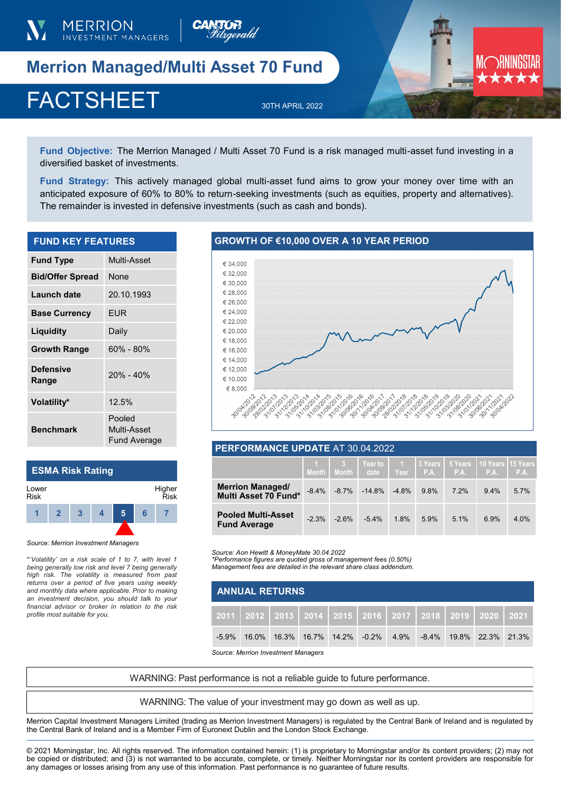

**Merrion Managed/Multi Asset 70 Fund** 

# FACTSHEET 30TH APRIL 2022

**MERRION INVESTMENT MANAGERS** 



**Fund Objective:** The Merrion Managed / Multi Asset 70 Fund is a risk managed multi-asset fund investing in a diversified basket of investments.

**Fund Strategy:** This actively managed global multi-asset fund aims to grow your money over time with an anticipated exposure of 60% to 80% to return-seeking investments (such as equities, property and alternatives). The remainder is invested in defensive investments (such as cash and bonds).

| <b>FUND KEY FEATURES</b>  |                                       |  |  |  |  |
|---------------------------|---------------------------------------|--|--|--|--|
| <b>Fund Type</b>          | Multi-Asset                           |  |  |  |  |
| <b>Bid/Offer Spread</b>   | None                                  |  |  |  |  |
| Launch date               | 20.10.1993                            |  |  |  |  |
| <b>Base Currency</b>      | EUR                                   |  |  |  |  |
| Liquidity                 | Daily                                 |  |  |  |  |
| <b>Growth Range</b>       | 60% - 80%                             |  |  |  |  |
| <b>Defensive</b><br>Range | $20% - 40%$                           |  |  |  |  |
| Volatility*               | 12.5%                                 |  |  |  |  |
| <b>Benchmark</b>          | Pooled<br>Multi-Asset<br>Fund Average |  |  |  |  |

#### **ESMA Risk Rating**  Lower Risk Higher



\*'*Volatility' on a risk scale of 1 to 7, with level 1 being generally low risk and level 7 being generally high risk. The volatility is measured from past returns over a period of five years using weekly and monthly data where applicable. Prior to making an investment decision, you should talk to your financial advisor or broker in relation to the risk profile most suitable for you.* 

# **GROWTH OF €10,000 OVER A 10 YEAR PERIOD**



### **PERFORMANCE UPDATE** AT 30.04.2022

|                                                  |          |         | Month   Month   date   Year |         |      | 1 3 Year to 1 3 Years 5 Years 10 Years 15 Years<br>P.A. I P.A. I P.A. I P.A. |         |      |
|--------------------------------------------------|----------|---------|-----------------------------|---------|------|------------------------------------------------------------------------------|---------|------|
| <b>Merrion Managed/</b><br>Multi Asset 70 Fund*  | $-8.4\%$ |         | $-8.7\% -14.8\%$            | $-4.8%$ | 9.8% | 7.2%                                                                         | $9.4\%$ | 5.7% |
| <b>Pooled Multi-Asset</b><br><b>Fund Average</b> | $-2.3\%$ | $-2.6%$ | $-5.4\%$                    | 1.8%    | 5.9% | 5.1%                                                                         | 6.9%    | 4.0% |

*Source: Aon Hewitt & MoneyMate 30.04.2022*

*\*Performance figures are quoted gross of management fees (0.50%) Management fees are detailed in the relevant share class addendum.* 

| <b>ANNUAL RETURNS</b> |                                                                            |                                                                     |  |  |  |  |  |  |
|-----------------------|----------------------------------------------------------------------------|---------------------------------------------------------------------|--|--|--|--|--|--|
|                       | 2011   2012   2013   2014   2015   2016   2017   2018   2019   2020   2021 |                                                                     |  |  |  |  |  |  |
| $-5.9\%$              |                                                                            | 16.0%  16.3%  16.7%  14.2%  -0.2%  4.9%  -8.4%  19.8%  22.3%  21.3% |  |  |  |  |  |  |

*Source: Merrion Investment Managers*

WARNING: Past performance is not a reliable guide to future performance.

WARNING: The value of your investment may go down as well as up.

Merrion Capital Investment Managers Limited (trading as Merrion Investment Managers) is regulated by the Central Bank of Ireland and is regulated by the Central Bank of Ireland and is a Member Firm of Euronext Dublin and the London Stock Exchange.

© 2021 Morningstar, Inc. All rights reserved. The information contained herein: (1) is proprietary to Morningstar and/or its content providers; (2) may not be copied or distributed; and (3) is not warranted to be accurate, complete, or timely. Neither Morningstar nor its content providers are responsible for any damages or losses arising from any use of this information. Past performance is no guarantee of future results.